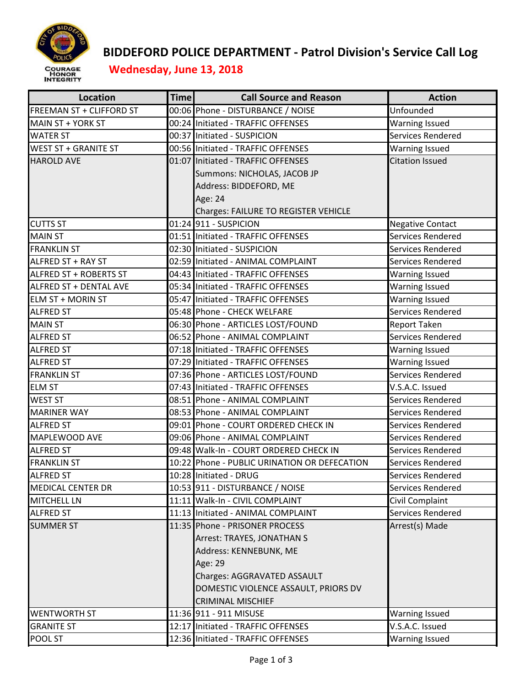

## **BIDDEFORD POLICE DEPARTMENT ‐ Patrol Division's Service Call Log**

 **Wednesday, June 13, 2018**

| Location                      | <b>Time</b> | <b>Call Source and Reason</b>                | <b>Action</b>           |
|-------------------------------|-------------|----------------------------------------------|-------------------------|
| FREEMAN ST + CLIFFORD ST      |             | 00:06 Phone - DISTURBANCE / NOISE            | Unfounded               |
| MAIN ST + YORK ST             |             | 00:24 Initiated - TRAFFIC OFFENSES           | <b>Warning Issued</b>   |
| <b>WATER ST</b>               |             | 00:37 Initiated - SUSPICION                  | Services Rendered       |
| <b>WEST ST + GRANITE ST</b>   |             | 00:56 Initiated - TRAFFIC OFFENSES           | <b>Warning Issued</b>   |
| <b>HAROLD AVE</b>             |             | 01:07 Initiated - TRAFFIC OFFENSES           | <b>Citation Issued</b>  |
|                               |             | Summons: NICHOLAS, JACOB JP                  |                         |
|                               |             | Address: BIDDEFORD, ME                       |                         |
|                               |             | Age: 24                                      |                         |
|                               |             | Charges: FAILURE TO REGISTER VEHICLE         |                         |
| <b>CUTTS ST</b>               |             | 01:24 911 - SUSPICION                        | <b>Negative Contact</b> |
| <b>MAIN ST</b>                |             | 01:51 Initiated - TRAFFIC OFFENSES           | Services Rendered       |
| <b>FRANKLIN ST</b>            |             | 02:30 Initiated - SUSPICION                  | Services Rendered       |
| ALFRED ST + RAY ST            |             | 02:59 Initiated - ANIMAL COMPLAINT           | Services Rendered       |
| ALFRED ST + ROBERTS ST        |             | 04:43 Initiated - TRAFFIC OFFENSES           | <b>Warning Issued</b>   |
| <b>ALFRED ST + DENTAL AVE</b> |             | 05:34 Initiated - TRAFFIC OFFENSES           | <b>Warning Issued</b>   |
| ELM ST + MORIN ST             |             | 05:47 Initiated - TRAFFIC OFFENSES           | <b>Warning Issued</b>   |
| <b>ALFRED ST</b>              |             | 05:48 Phone - CHECK WELFARE                  | Services Rendered       |
| <b>MAIN ST</b>                |             | 06:30 Phone - ARTICLES LOST/FOUND            | <b>Report Taken</b>     |
| <b>ALFRED ST</b>              |             | 06:52 Phone - ANIMAL COMPLAINT               | Services Rendered       |
| <b>ALFRED ST</b>              |             | 07:18 Initiated - TRAFFIC OFFENSES           | <b>Warning Issued</b>   |
| <b>ALFRED ST</b>              |             | 07:29 Initiated - TRAFFIC OFFENSES           | <b>Warning Issued</b>   |
| <b>FRANKLIN ST</b>            |             | 07:36 Phone - ARTICLES LOST/FOUND            | Services Rendered       |
| <b>ELM ST</b>                 |             | 07:43 Initiated - TRAFFIC OFFENSES           | V.S.A.C. Issued         |
| <b>WEST ST</b>                |             | 08:51 Phone - ANIMAL COMPLAINT               | Services Rendered       |
| <b>MARINER WAY</b>            |             | 08:53 Phone - ANIMAL COMPLAINT               | Services Rendered       |
| <b>ALFRED ST</b>              |             | 09:01 Phone - COURT ORDERED CHECK IN         | Services Rendered       |
| MAPLEWOOD AVE                 |             | 09:06 Phone - ANIMAL COMPLAINT               | Services Rendered       |
| <b>ALFRED ST</b>              |             | 09:48 Walk-In - COURT ORDERED CHECK IN       | Services Rendered       |
| <b>FRANKLIN ST</b>            |             | 10:22 Phone - PUBLIC URINATION OR DEFECATION | Services Rendered       |
| <b>ALFRED ST</b>              |             | 10:28 Initiated - DRUG                       | Services Rendered       |
| <b>MEDICAL CENTER DR</b>      |             | 10:53 911 - DISTURBANCE / NOISE              | Services Rendered       |
| <b>MITCHELL LN</b>            |             | 11:11 Walk-In - CIVIL COMPLAINT              | Civil Complaint         |
| <b>ALFRED ST</b>              |             | 11:13 Initiated - ANIMAL COMPLAINT           | Services Rendered       |
| <b>SUMMER ST</b>              |             | 11:35 Phone - PRISONER PROCESS               | Arrest(s) Made          |
|                               |             | Arrest: TRAYES, JONATHAN S                   |                         |
|                               |             | Address: KENNEBUNK, ME                       |                         |
|                               |             | Age: 29                                      |                         |
|                               |             | Charges: AGGRAVATED ASSAULT                  |                         |
|                               |             | DOMESTIC VIOLENCE ASSAULT, PRIORS DV         |                         |
|                               |             | <b>CRIMINAL MISCHIEF</b>                     |                         |
| <b>WENTWORTH ST</b>           |             | 11:36 911 - 911 MISUSE                       | <b>Warning Issued</b>   |
| <b>GRANITE ST</b>             |             | 12:17 Initiated - TRAFFIC OFFENSES           | V.S.A.C. Issued         |
| POOL ST                       |             | 12:36 Initiated - TRAFFIC OFFENSES           | <b>Warning Issued</b>   |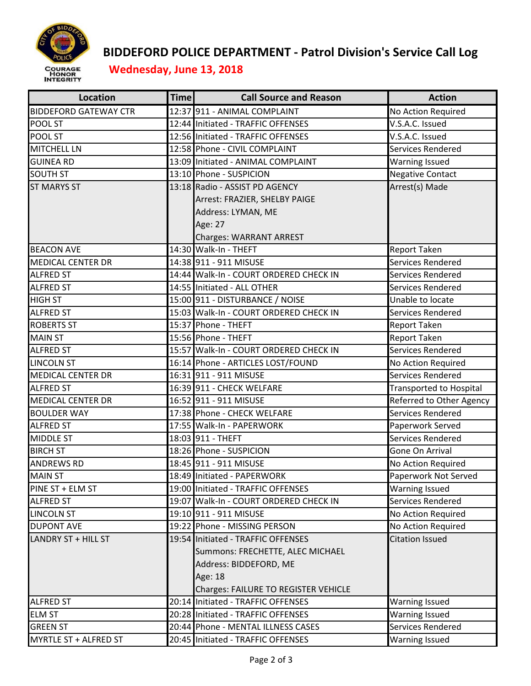

## **BIDDEFORD POLICE DEPARTMENT ‐ Patrol Division's Service Call Log**

 **Wednesday, June 13, 2018**

| <b>Location</b>              | <b>Time</b> | <b>Call Source and Reason</b>          | <b>Action</b>            |
|------------------------------|-------------|----------------------------------------|--------------------------|
| <b>BIDDEFORD GATEWAY CTR</b> |             | 12:37 911 - ANIMAL COMPLAINT           | No Action Required       |
| POOL ST                      |             | 12:44 Initiated - TRAFFIC OFFENSES     | V.S.A.C. Issued          |
| POOL ST                      |             | 12:56 Initiated - TRAFFIC OFFENSES     | V.S.A.C. Issued          |
| <b>MITCHELL LN</b>           |             | 12:58 Phone - CIVIL COMPLAINT          | Services Rendered        |
| <b>GUINEA RD</b>             |             | 13:09 Initiated - ANIMAL COMPLAINT     | <b>Warning Issued</b>    |
| <b>SOUTH ST</b>              |             | 13:10 Phone - SUSPICION                | <b>Negative Contact</b>  |
| <b>ST MARYS ST</b>           |             | 13:18 Radio - ASSIST PD AGENCY         | Arrest(s) Made           |
|                              |             | Arrest: FRAZIER, SHELBY PAIGE          |                          |
|                              |             | Address: LYMAN, ME                     |                          |
|                              |             | Age: 27                                |                          |
|                              |             | <b>Charges: WARRANT ARREST</b>         |                          |
| <b>BEACON AVE</b>            |             | 14:30 Walk-In - THEFT                  | Report Taken             |
| <b>MEDICAL CENTER DR</b>     |             | 14:38 911 - 911 MISUSE                 | Services Rendered        |
| <b>ALFRED ST</b>             |             | 14:44 Walk-In - COURT ORDERED CHECK IN | Services Rendered        |
| <b>ALFRED ST</b>             |             | 14:55 Initiated - ALL OTHER            | Services Rendered        |
| <b>HIGH ST</b>               |             | 15:00 911 - DISTURBANCE / NOISE        | Unable to locate         |
| <b>ALFRED ST</b>             |             | 15:03 Walk-In - COURT ORDERED CHECK IN | Services Rendered        |
| <b>ROBERTS ST</b>            |             | 15:37 Phone - THEFT                    | Report Taken             |
| <b>MAIN ST</b>               |             | 15:56 Phone - THEFT                    | Report Taken             |
| <b>ALFRED ST</b>             |             | 15:57 Walk-In - COURT ORDERED CHECK IN | Services Rendered        |
| <b>LINCOLN ST</b>            |             | 16:14 Phone - ARTICLES LOST/FOUND      | No Action Required       |
| <b>MEDICAL CENTER DR</b>     |             | 16:31 911 - 911 MISUSE                 | Services Rendered        |
| <b>ALFRED ST</b>             |             | 16:39 911 - CHECK WELFARE              | Transported to Hospital  |
| <b>MEDICAL CENTER DR</b>     |             | 16:52 911 - 911 MISUSE                 | Referred to Other Agency |
| <b>BOULDER WAY</b>           |             | 17:38 Phone - CHECK WELFARE            | Services Rendered        |
| <b>ALFRED ST</b>             |             | 17:55 Walk-In - PAPERWORK              | Paperwork Served         |
| <b>MIDDLE ST</b>             |             | 18:03 911 - THEFT                      | Services Rendered        |
| <b>BIRCH ST</b>              |             | 18:26 Phone - SUSPICION                | Gone On Arrival          |
| <b>ANDREWS RD</b>            |             | 18:45 911 - 911 MISUSE                 | No Action Required       |
| <b>MAIN ST</b>               |             | 18:49 Initiated - PAPERWORK            | Paperwork Not Served     |
| PINE ST + ELM ST             |             | 19:00 Initiated - TRAFFIC OFFENSES     | Warning Issued           |
| <b>ALFRED ST</b>             |             | 19:07 Walk-In - COURT ORDERED CHECK IN | Services Rendered        |
| <b>LINCOLN ST</b>            |             | 19:10 911 - 911 MISUSE                 | No Action Required       |
| <b>DUPONT AVE</b>            |             | 19:22 Phone - MISSING PERSON           | No Action Required       |
| LANDRY ST + HILL ST          |             | 19:54 Initiated - TRAFFIC OFFENSES     | <b>Citation Issued</b>   |
|                              |             | Summons: FRECHETTE, ALEC MICHAEL       |                          |
|                              |             | Address: BIDDEFORD, ME                 |                          |
|                              |             | Age: 18                                |                          |
|                              |             | Charges: FAILURE TO REGISTER VEHICLE   |                          |
| <b>ALFRED ST</b>             |             | 20:14 Initiated - TRAFFIC OFFENSES     | <b>Warning Issued</b>    |
| <b>ELM ST</b>                |             | 20:28 Initiated - TRAFFIC OFFENSES     | <b>Warning Issued</b>    |
| <b>GREEN ST</b>              |             | 20:44 Phone - MENTAL ILLNESS CASES     | Services Rendered        |
| MYRTLE ST + ALFRED ST        |             | 20:45 Initiated - TRAFFIC OFFENSES     | <b>Warning Issued</b>    |